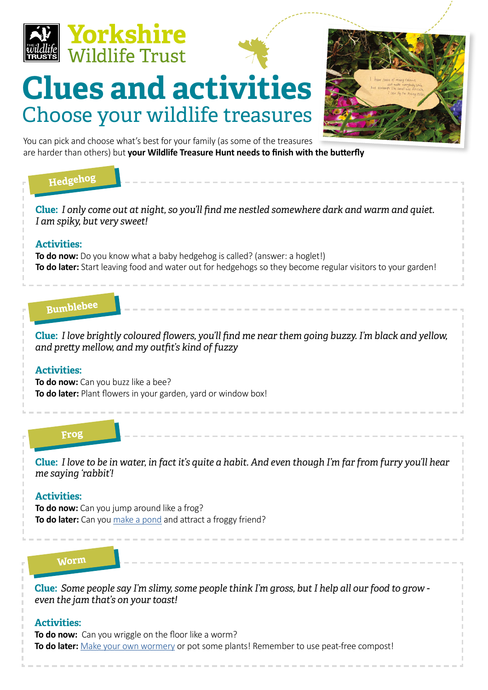

# **Clues and activities** Choose your wildlife treasures



You can pick and choose what's best for your family (as some of the treasures are harder than others) but **your Wildlife Treasure Hunt needs to finish with the butterfly**

### **Hedgehog Hedgehog**

**Clue:** *I only come out at night, so you'll find me nestled somewhere dark and warm and quiet. I am spiky, but very sweet!*

#### **Activities:**

**To do now:** Do you know what a baby hedgehog is called? (answer: a hoglet!) **To do later:** Start leaving food and water out for hedgehogs so they become regular visitors to your garden!

### **Bumblebee**

**Clue:** *I love brightly coloured flowers, you'll find me near them going buzzy. I'm black and yellow, and pretty mellow, and my outfit's kind of fuzzy*

#### **Activities:**

**To do now:** Can you buzz like a bee? **To do later:** Plant flowers in your garden, yard or window box!

#### **Hedgehog Frog**

**Clue:** *I love to be in water, in fact it's quite a habit. And even though I'm far from furry you'll hear me saying 'rabbit'!*

#### **Activities:**

**To do now:** Can you jump around like a frog? **To do later:** Can you [make a pond](https://www.ywt.org.uk/actions/how-create-mini-pond) and attract a froggy friend?

#### **Hedgehog Worm**

**Clue:** *Some people say I'm slimy, some people think I'm gross, but I help all our food to grow even the jam that's on your toast!*

#### **Activities:**

**To do now:** Can you wriggle on the floor like a worm? **To do later:** [Make your own wormery](https://www.ywt.org.uk/sites/default/files/2020-04/WORMERY.jpg) or pot some plants! Remember to use peat-free compost!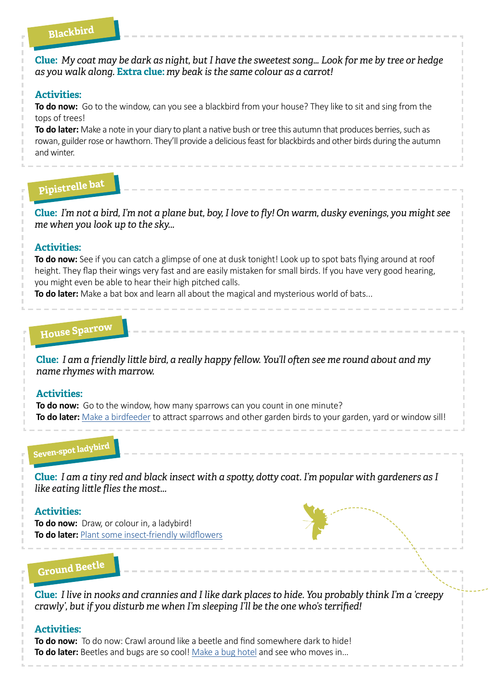### **Hedgehog Blackbird**

**Clue:** *My coat may be dark as night, but I have the sweetest song… Look for me by tree or hedge as you walk along.* **Extra clue:** *my beak is the same colour as a carrot!*

#### **Activities:**

**To do now:** Go to the window, can you see a blackbird from your house? They like to sit and sing from the tops of trees!

**To do later:** Make a note in your diary to plant a native bush or tree this autumn that produces berries, such as rowan, guilder rose or hawthorn. They'll provide a delicious feast for blackbirds and other birds during the autumn and winter.

# **Pipistrelle bat**

**Clue:** *I'm not a bird, I'm not a plane but, boy, I love to fly! On warm, dusky evenings, you might see me when you look up to the sky...*

#### **Activities:**

**To do now:** See if you can catch a glimpse of one at dusk tonight! Look up to spot bats flying around at roof height. They flap their wings very fast and are easily mistaken for small birds. If you have very good hearing, you might even be able to hear their high pitched calls.

**To do later:** Make a bat box and learn all about the magical and mysterious world of bats...

# **House Sparrow Hedgehog**

**Clue:** *I am a friendly little bird, a really happy fellow. You'll often see me round about and my name rhymes with marrow.*

#### **Activities:**

**To do now:** Go to the window, how many sparrows can you count in one minute? **To do later:** [Make a birdfeeder](https://www.ywt.org.uk/actions/how-feed-birds-your-garden) to attract sparrows and other garden birds to your garden, yard or window sill!

# **Seven-spot ladybird Hedgehog**

**Clue:** *I am a tiny red and black insect with a spotty, dotty coat. I'm popular with gardeners as I like eating little flies the most...*

#### **Activities:**

**To do now:** Draw, or colour in, a ladybird! **To do later:** [Plant some insect-friendly wildflowers](https://www.ywt.org.uk/actions/how-make-seed-bomb)

**Ground Beetle** 

**Clue:** *I live in nooks and crannies and I like dark places to hide. You probably think I'm a 'creepy crawly', but if you disturb me when I'm sleeping I'll be the one who's terrified!*

#### **Activities:**

**To do now:** To do now: Crawl around like a beetle and find somewhere dark to hide! **To do later:** Beetles and bugs are so cool! [Make a bug hotel](https://www.ywt.org.uk/actions/how-build-bug-mansion) and see who moves in...